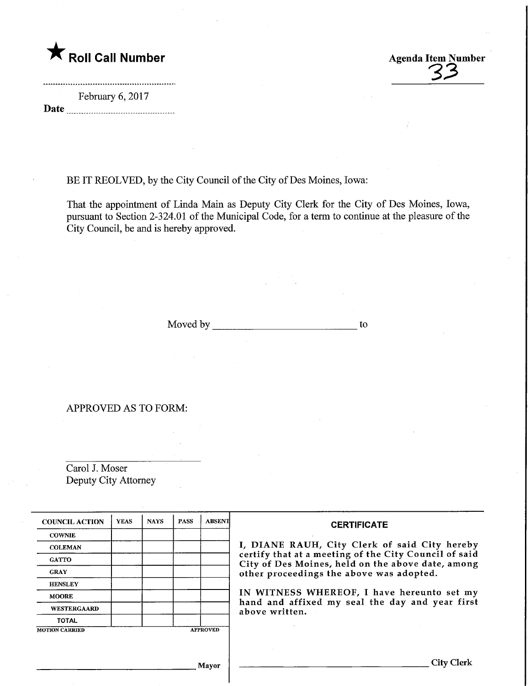

February 6, 2017 Date

BE IT REOLVED, by the City Council of the City of Des Moines, Iowa:

That the appointment of Linda Main as Deputy City Clerk for the City of Des Moines, Iowa, pursuant to Section 2-324.01 of the Municipal Code, for a term to continue at the pleasure of the City Council, be and is hereby approved.

Moved by to to the contract of the contract of the contract of the contract of the contract of the contract of the contract of the contract of the contract of the contract of the contract of the contract of the contract of

APPROVED AS TO FORM:

Carol J. Moser Deputy City Attorney

| <b>COUNCIL ACTION</b>                    | <b>YEAS</b> | <b>NAYS</b> | <b>PASS</b> | <b>ABSENT</b> | <b>CERTIFICATE</b>                                                                                                                                                                                      |  |  |
|------------------------------------------|-------------|-------------|-------------|---------------|---------------------------------------------------------------------------------------------------------------------------------------------------------------------------------------------------------|--|--|
| <b>COWNIE</b>                            |             |             |             |               | I, DIANE RAUH, City Clerk of said City hereby<br>certify that at a meeting of the City Council of said<br>City of Des Moines, held on the above date, among<br>other proceedings the above was adopted. |  |  |
| <b>COLEMAN</b>                           |             |             |             |               |                                                                                                                                                                                                         |  |  |
| <b>GATTO</b>                             |             |             |             |               |                                                                                                                                                                                                         |  |  |
| <b>GRAY</b>                              |             |             |             |               |                                                                                                                                                                                                         |  |  |
| <b>HENSLEY</b>                           |             |             |             |               |                                                                                                                                                                                                         |  |  |
| <b>MOORE</b>                             |             |             |             |               | IN WITNESS WHEREOF, I have hereunto set my                                                                                                                                                              |  |  |
| WESTERGAARD                              |             |             |             |               | hand and affixed my seal the day and year first<br>above written.                                                                                                                                       |  |  |
| <b>TOTAL</b>                             |             |             |             |               |                                                                                                                                                                                                         |  |  |
| <b>APPROVED</b><br><b>MOTION CARRIED</b> |             |             |             |               |                                                                                                                                                                                                         |  |  |
|                                          |             |             |             |               |                                                                                                                                                                                                         |  |  |
|                                          |             |             |             |               |                                                                                                                                                                                                         |  |  |
| Mayor                                    |             |             |             |               |                                                                                                                                                                                                         |  |  |